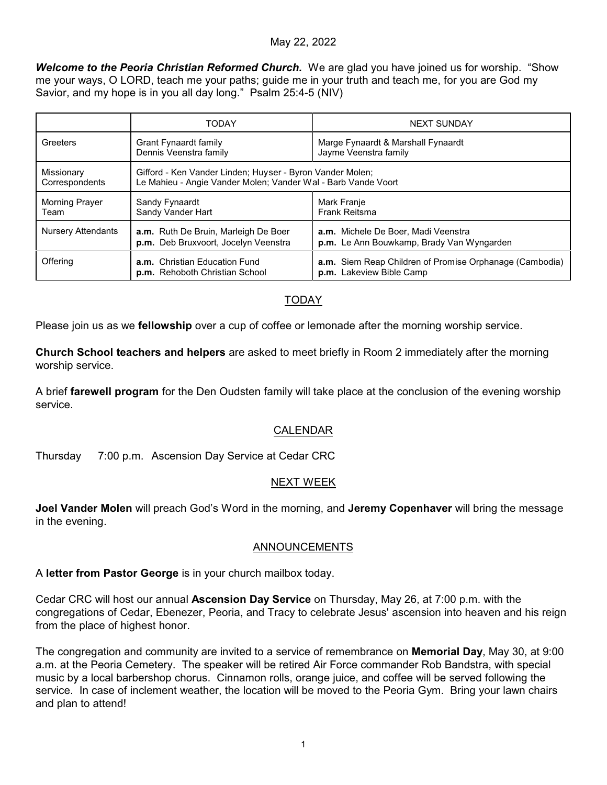#### May 22, 2022

*Welcome to the Peoria Christian Reformed Church.* We are glad you have joined us for worship. "Show me your ways, O LORD, teach me your paths; guide me in your truth and teach me, for you are God my Savior, and my hope is in you all day long." Psalm 25:4-5 (NIV)

|                              | <b>TODAY</b>                                                                                                               | <b>NEXT SUNDAY</b>                                                                  |
|------------------------------|----------------------------------------------------------------------------------------------------------------------------|-------------------------------------------------------------------------------------|
| Greeters                     | Grant Fynaardt family<br>Dennis Veenstra family                                                                            | Marge Fynaardt & Marshall Fynaardt<br>Jayme Veenstra family                         |
| Missionary<br>Correspondents | Gifford - Ken Vander Linden; Huyser - Byron Vander Molen;<br>Le Mahieu - Angie Vander Molen; Vander Wal - Barb Vande Voort |                                                                                     |
| Morning Prayer<br>Team       | Sandy Fynaardt<br>Sandy Vander Hart                                                                                        | Mark Franje<br><b>Frank Reitsma</b>                                                 |
| <b>Nursery Attendants</b>    | a.m. Ruth De Bruin, Marleigh De Boer<br>p.m. Deb Bruxvoort, Jocelyn Veenstra                                               | a.m. Michele De Boer, Madi Veenstra<br>p.m. Le Ann Bouwkamp, Brady Van Wyngarden    |
| Offering                     | a.m. Christian Education Fund<br>p.m. Rehoboth Christian School                                                            | a.m. Siem Reap Children of Promise Orphanage (Cambodia)<br>p.m. Lakeview Bible Camp |

# TODAY

Please join us as we **fellowship** over a cup of coffee or lemonade after the morning worship service.

**Church School teachers and helpers** are asked to meet briefly in Room 2 immediately after the morning worship service.

A brief **farewell program** for the Den Oudsten family will take place at the conclusion of the evening worship service.

## CALENDAR

Thursday 7:00 p.m. Ascension Day Service at Cedar CRC

#### NEXT WEEK

**Joel Vander Molen** will preach God's Word in the morning, and **Jeremy Copenhaver** will bring the message in the evening.

#### ANNOUNCEMENTS

A **letter from Pastor George** is in your church mailbox today.

Cedar CRC will host our annual **Ascension Day Service** on Thursday, May 26, at 7:00 p.m. with the congregations of Cedar, Ebenezer, Peoria, and Tracy to celebrate Jesus' ascension into heaven and his reign from the place of highest honor.

The congregation and community are invited to a service of remembrance on **Memorial Day**, May 30, at 9:00 a.m. at the Peoria Cemetery. The speaker will be retired Air Force commander Rob Bandstra, with special music by a local barbershop chorus. Cinnamon rolls, orange juice, and coffee will be served following the service. In case of inclement weather, the location will be moved to the Peoria Gym. Bring your lawn chairs and plan to attend!